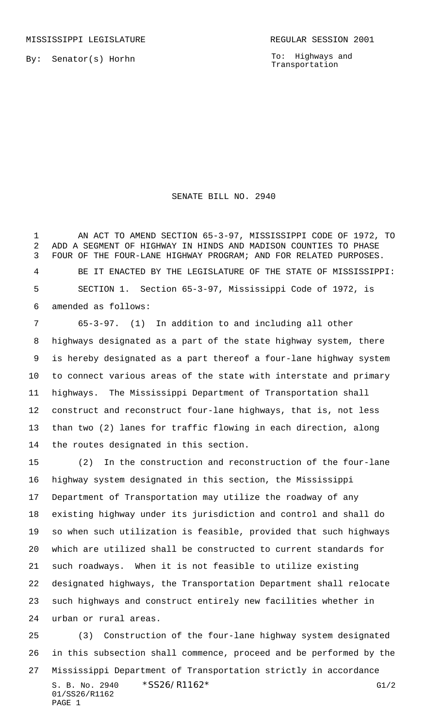By: Senator(s) Horhn

To: Highways and Transportation

## SENATE BILL NO. 2940

 AN ACT TO AMEND SECTION 65-3-97, MISSISSIPPI CODE OF 1972, TO ADD A SEGMENT OF HIGHWAY IN HINDS AND MADISON COUNTIES TO PHASE FOUR OF THE FOUR-LANE HIGHWAY PROGRAM; AND FOR RELATED PURPOSES. BE IT ENACTED BY THE LEGISLATURE OF THE STATE OF MISSISSIPPI: SECTION 1. Section 65-3-97, Mississippi Code of 1972, is amended as follows:

 65-3-97. (1) In addition to and including all other highways designated as a part of the state highway system, there is hereby designated as a part thereof a four-lane highway system to connect various areas of the state with interstate and primary highways. The Mississippi Department of Transportation shall construct and reconstruct four-lane highways, that is, not less than two (2) lanes for traffic flowing in each direction, along the routes designated in this section.

 (2) In the construction and reconstruction of the four-lane highway system designated in this section, the Mississippi Department of Transportation may utilize the roadway of any existing highway under its jurisdiction and control and shall do so when such utilization is feasible, provided that such highways which are utilized shall be constructed to current standards for such roadways. When it is not feasible to utilize existing designated highways, the Transportation Department shall relocate such highways and construct entirely new facilities whether in urban or rural areas.

S. B. No. 2940 \* SS26/R1162\* G1/2 01/SS26/R1162 PAGE 1 (3) Construction of the four-lane highway system designated in this subsection shall commence, proceed and be performed by the Mississippi Department of Transportation strictly in accordance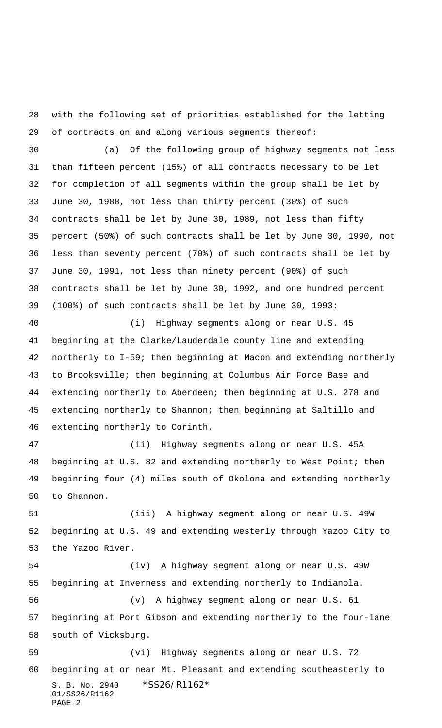with the following set of priorities established for the letting of contracts on and along various segments thereof:

 (a) Of the following group of highway segments not less than fifteen percent (15%) of all contracts necessary to be let for completion of all segments within the group shall be let by June 30, 1988, not less than thirty percent (30%) of such contracts shall be let by June 30, 1989, not less than fifty percent (50%) of such contracts shall be let by June 30, 1990, not less than seventy percent (70%) of such contracts shall be let by June 30, 1991, not less than ninety percent (90%) of such contracts shall be let by June 30, 1992, and one hundred percent (100%) of such contracts shall be let by June 30, 1993:

 (i) Highway segments along or near U.S. 45 beginning at the Clarke/Lauderdale county line and extending northerly to I-59; then beginning at Macon and extending northerly to Brooksville; then beginning at Columbus Air Force Base and extending northerly to Aberdeen; then beginning at U.S. 278 and extending northerly to Shannon; then beginning at Saltillo and extending northerly to Corinth.

 (ii) Highway segments along or near U.S. 45A beginning at U.S. 82 and extending northerly to West Point; then beginning four (4) miles south of Okolona and extending northerly to Shannon.

 (iii) A highway segment along or near U.S. 49W beginning at U.S. 49 and extending westerly through Yazoo City to the Yazoo River.

S. B. No. 2940 \*SS26/R1162\* (iv) A highway segment along or near U.S. 49W beginning at Inverness and extending northerly to Indianola. (v) A highway segment along or near U.S. 61 beginning at Port Gibson and extending northerly to the four-lane south of Vicksburg. (vi) Highway segments along or near U.S. 72 beginning at or near Mt. Pleasant and extending southeasterly to

01/SS26/R1162 PAGE 2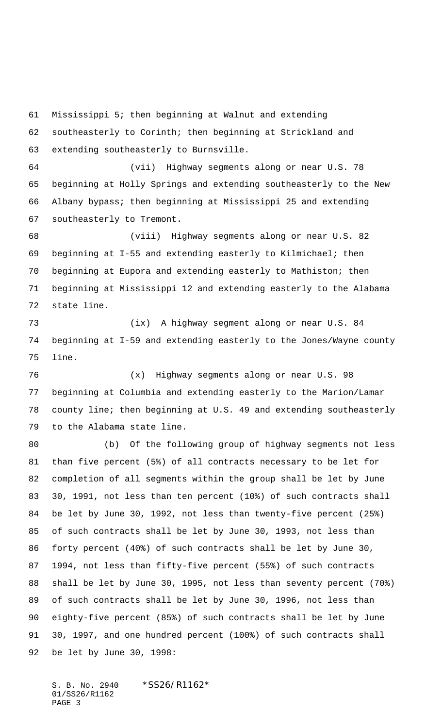Mississippi 5; then beginning at Walnut and extending southeasterly to Corinth; then beginning at Strickland and extending southeasterly to Burnsville. (vii) Highway segments along or near U.S. 78 beginning at Holly Springs and extending southeasterly to the New Albany bypass; then beginning at Mississippi 25 and extending southeasterly to Tremont. (viii) Highway segments along or near U.S. 82 beginning at I-55 and extending easterly to Kilmichael; then beginning at Eupora and extending easterly to Mathiston; then beginning at Mississippi 12 and extending easterly to the Alabama

 (ix) A highway segment along or near U.S. 84 beginning at I-59 and extending easterly to the Jones/Wayne county line.

 (x) Highway segments along or near U.S. 98 beginning at Columbia and extending easterly to the Marion/Lamar county line; then beginning at U.S. 49 and extending southeasterly to the Alabama state line.

 (b) Of the following group of highway segments not less than five percent (5%) of all contracts necessary to be let for completion of all segments within the group shall be let by June 30, 1991, not less than ten percent (10%) of such contracts shall be let by June 30, 1992, not less than twenty-five percent (25%) of such contracts shall be let by June 30, 1993, not less than forty percent (40%) of such contracts shall be let by June 30, 1994, not less than fifty-five percent (55%) of such contracts shall be let by June 30, 1995, not less than seventy percent (70%) of such contracts shall be let by June 30, 1996, not less than eighty-five percent (85%) of such contracts shall be let by June 30, 1997, and one hundred percent (100%) of such contracts shall be let by June 30, 1998:

S. B. No. 2940 \*SS26/R1162\* 01/SS26/R1162 PAGE 3

state line.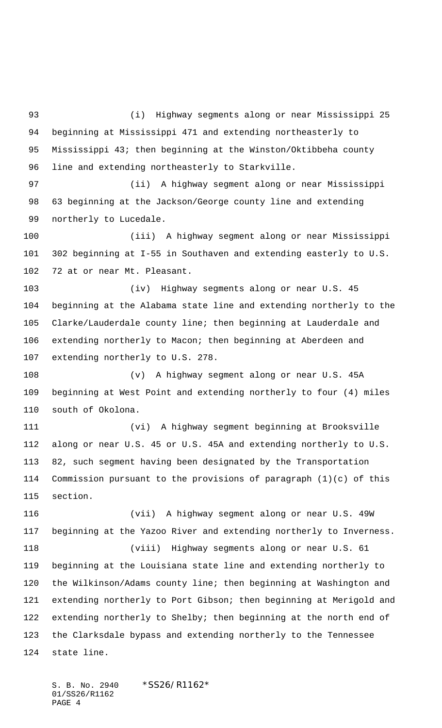(i) Highway segments along or near Mississippi 25 beginning at Mississippi 471 and extending northeasterly to Mississippi 43; then beginning at the Winston/Oktibbeha county line and extending northeasterly to Starkville. (ii) A highway segment along or near Mississippi 63 beginning at the Jackson/George county line and extending northerly to Lucedale. (iii) A highway segment along or near Mississippi 302 beginning at I-55 in Southaven and extending easterly to U.S. 72 at or near Mt. Pleasant. (iv) Highway segments along or near U.S. 45 beginning at the Alabama state line and extending northerly to the Clarke/Lauderdale county line; then beginning at Lauderdale and extending northerly to Macon; then beginning at Aberdeen and extending northerly to U.S. 278. (v) A highway segment along or near U.S. 45A beginning at West Point and extending northerly to four (4) miles south of Okolona. (vi) A highway segment beginning at Brooksville along or near U.S. 45 or U.S. 45A and extending northerly to U.S. 82, such segment having been designated by the Transportation Commission pursuant to the provisions of paragraph (1)(c) of this section. (vii) A highway segment along or near U.S. 49W beginning at the Yazoo River and extending northerly to Inverness. (viii) Highway segments along or near U.S. 61 beginning at the Louisiana state line and extending northerly to the Wilkinson/Adams county line; then beginning at Washington and extending northerly to Port Gibson; then beginning at Merigold and extending northerly to Shelby; then beginning at the north end of the Clarksdale bypass and extending northerly to the Tennessee state line.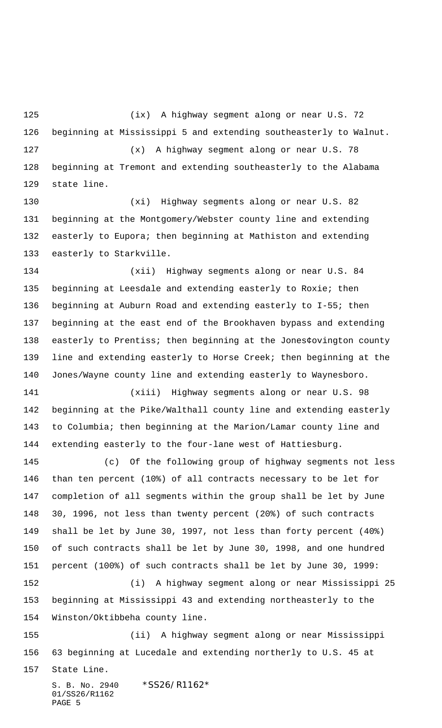(ix) A highway segment along or near U.S. 72 beginning at Mississippi 5 and extending southeasterly to Walnut. (x) A highway segment along or near U.S. 78 beginning at Tremont and extending southeasterly to the Alabama state line.

 (xi) Highway segments along or near U.S. 82 beginning at the Montgomery/Webster county line and extending easterly to Eupora; then beginning at Mathiston and extending easterly to Starkville.

 (xii) Highway segments along or near U.S. 84 135 beginning at Leesdale and extending easterly to Roxie; then beginning at Auburn Road and extending easterly to I-55; then beginning at the east end of the Brookhaven bypass and extending easterly to Prentiss; then beginning at the Jones¢ovington county line and extending easterly to Horse Creek; then beginning at the Jones/Wayne county line and extending easterly to Waynesboro.

 (xiii) Highway segments along or near U.S. 98 beginning at the Pike/Walthall county line and extending easterly to Columbia; then beginning at the Marion/Lamar county line and extending easterly to the four-lane west of Hattiesburg.

 (c) Of the following group of highway segments not less than ten percent (10%) of all contracts necessary to be let for completion of all segments within the group shall be let by June 30, 1996, not less than twenty percent (20%) of such contracts shall be let by June 30, 1997, not less than forty percent (40%) of such contracts shall be let by June 30, 1998, and one hundred percent (100%) of such contracts shall be let by June 30, 1999: (i) A highway segment along or near Mississippi 25 beginning at Mississippi 43 and extending northeasterly to the Winston/Oktibbeha county line.

 (ii) A highway segment along or near Mississippi 63 beginning at Lucedale and extending northerly to U.S. 45 at

State Line.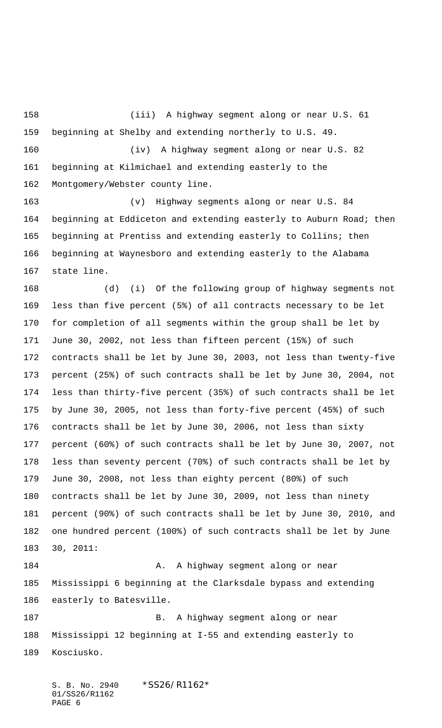(iii) A highway segment along or near U.S. 61 beginning at Shelby and extending northerly to U.S. 49. (iv) A highway segment along or near U.S. 82 beginning at Kilmichael and extending easterly to the Montgomery/Webster county line.

 (v) Highway segments along or near U.S. 84 beginning at Eddiceton and extending easterly to Auburn Road; then beginning at Prentiss and extending easterly to Collins; then beginning at Waynesboro and extending easterly to the Alabama state line.

 (d) (i) Of the following group of highway segments not less than five percent (5%) of all contracts necessary to be let for completion of all segments within the group shall be let by June 30, 2002, not less than fifteen percent (15%) of such contracts shall be let by June 30, 2003, not less than twenty-five percent (25%) of such contracts shall be let by June 30, 2004, not less than thirty-five percent (35%) of such contracts shall be let by June 30, 2005, not less than forty-five percent (45%) of such contracts shall be let by June 30, 2006, not less than sixty percent (60%) of such contracts shall be let by June 30, 2007, not less than seventy percent (70%) of such contracts shall be let by June 30, 2008, not less than eighty percent (80%) of such contracts shall be let by June 30, 2009, not less than ninety percent (90%) of such contracts shall be let by June 30, 2010, and one hundred percent (100%) of such contracts shall be let by June 30, 2011:

184 A. A highway segment along or near Mississippi 6 beginning at the Clarksdale bypass and extending easterly to Batesville.

187 B. A highway segment along or near Mississippi 12 beginning at I-55 and extending easterly to Kosciusko.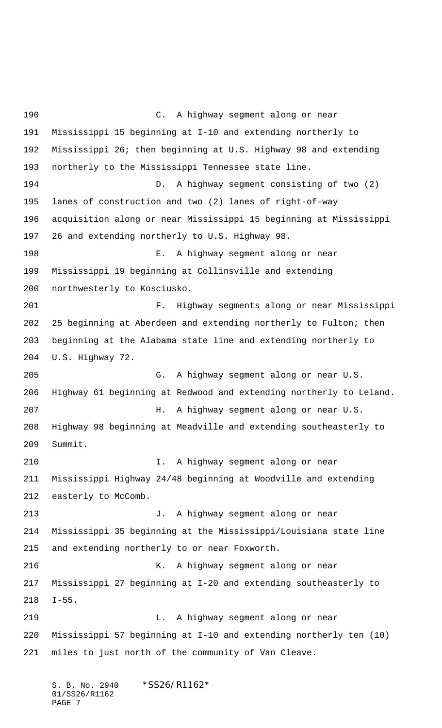C. A highway segment along or near Mississippi 15 beginning at I-10 and extending northerly to Mississippi 26; then beginning at U.S. Highway 98 and extending northerly to the Mississippi Tennessee state line. D. A highway segment consisting of two (2) lanes of construction and two (2) lanes of right-of-way acquisition along or near Mississippi 15 beginning at Mississippi 26 and extending northerly to U.S. Highway 98. E. A highway segment along or near Mississippi 19 beginning at Collinsville and extending northwesterly to Kosciusko. F. Highway segments along or near Mississippi 25 beginning at Aberdeen and extending northerly to Fulton; then beginning at the Alabama state line and extending northerly to U.S. Highway 72. G. A highway segment along or near U.S. Highway 61 beginning at Redwood and extending northerly to Leland. H. A highway segment along or near U.S. Highway 98 beginning at Meadville and extending southeasterly to Summit. I. A highway segment along or near Mississippi Highway 24/48 beginning at Woodville and extending 212 easterly to McComb. J. A highway segment along or near Mississippi 35 beginning at the Mississippi/Louisiana state line and extending northerly to or near Foxworth. K. A highway segment along or near Mississippi 27 beginning at I-20 and extending southeasterly to I-55. L. A highway segment along or near Mississippi 57 beginning at I-10 and extending northerly ten (10) miles to just north of the community of Van Cleave.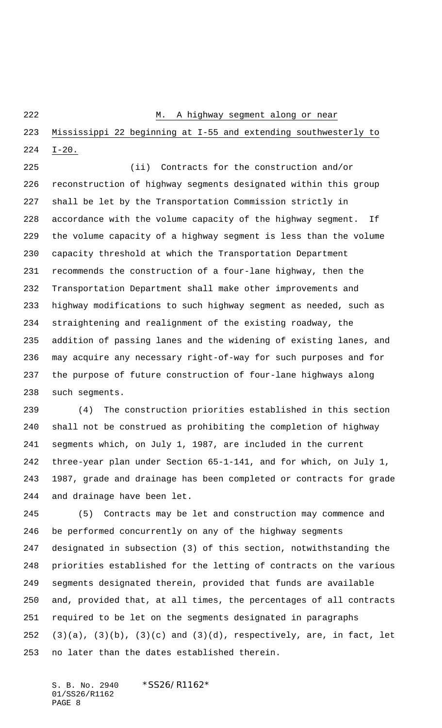## M. A highway segment along or near

 Mississippi 22 beginning at I-55 and extending southwesterly to I-20.

 (ii) Contracts for the construction and/or reconstruction of highway segments designated within this group shall be let by the Transportation Commission strictly in accordance with the volume capacity of the highway segment. If the volume capacity of a highway segment is less than the volume capacity threshold at which the Transportation Department recommends the construction of a four-lane highway, then the Transportation Department shall make other improvements and highway modifications to such highway segment as needed, such as straightening and realignment of the existing roadway, the addition of passing lanes and the widening of existing lanes, and may acquire any necessary right-of-way for such purposes and for the purpose of future construction of four-lane highways along such segments.

 (4) The construction priorities established in this section shall not be construed as prohibiting the completion of highway segments which, on July 1, 1987, are included in the current three-year plan under Section 65-1-141, and for which, on July 1, 1987, grade and drainage has been completed or contracts for grade and drainage have been let.

 (5) Contracts may be let and construction may commence and be performed concurrently on any of the highway segments designated in subsection (3) of this section, notwithstanding the priorities established for the letting of contracts on the various segments designated therein, provided that funds are available and, provided that, at all times, the percentages of all contracts required to be let on the segments designated in paragraphs  $(3)(a)$ ,  $(3)(b)$ ,  $(3)(c)$  and  $(3)(d)$ , respectively, are, in fact, let no later than the dates established therein.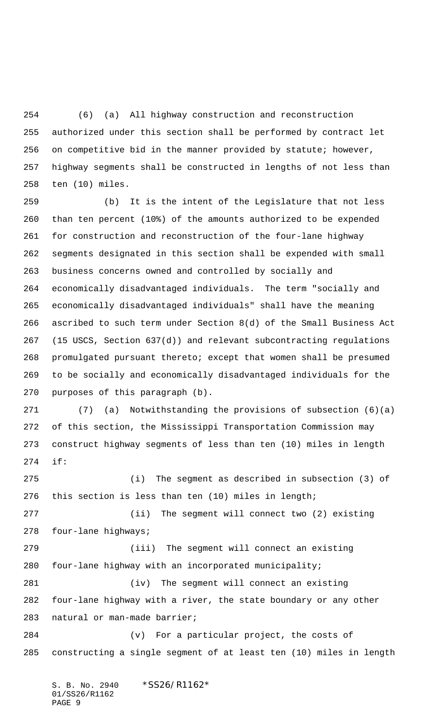(6) (a) All highway construction and reconstruction authorized under this section shall be performed by contract let on competitive bid in the manner provided by statute; however, highway segments shall be constructed in lengths of not less than ten (10) miles.

 (b) It is the intent of the Legislature that not less than ten percent (10%) of the amounts authorized to be expended for construction and reconstruction of the four-lane highway segments designated in this section shall be expended with small business concerns owned and controlled by socially and economically disadvantaged individuals. The term "socially and economically disadvantaged individuals" shall have the meaning ascribed to such term under Section 8(d) of the Small Business Act (15 USCS, Section 637(d)) and relevant subcontracting regulations promulgated pursuant thereto; except that women shall be presumed to be socially and economically disadvantaged individuals for the purposes of this paragraph (b).

 (7) (a) Notwithstanding the provisions of subsection (6)(a) of this section, the Mississippi Transportation Commission may construct highway segments of less than ten (10) miles in length if:

 (i) The segment as described in subsection (3) of this section is less than ten (10) miles in length; (ii) The segment will connect two (2) existing four-lane highways;

 (iii) The segment will connect an existing four-lane highway with an incorporated municipality; (iv) The segment will connect an existing four-lane highway with a river, the state boundary or any other natural or man-made barrier;

 (v) For a particular project, the costs of constructing a single segment of at least ten (10) miles in length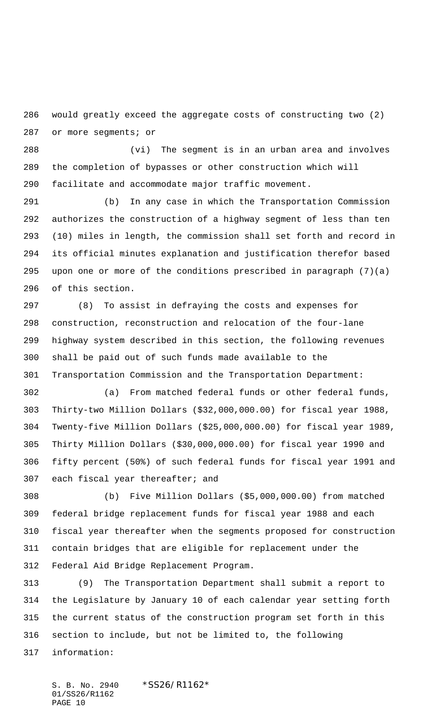would greatly exceed the aggregate costs of constructing two (2) or more segments; or

 (vi) The segment is in an urban area and involves the completion of bypasses or other construction which will facilitate and accommodate major traffic movement.

 (b) In any case in which the Transportation Commission authorizes the construction of a highway segment of less than ten (10) miles in length, the commission shall set forth and record in its official minutes explanation and justification therefor based upon one or more of the conditions prescribed in paragraph (7)(a) of this section.

 (8) To assist in defraying the costs and expenses for construction, reconstruction and relocation of the four-lane highway system described in this section, the following revenues shall be paid out of such funds made available to the Transportation Commission and the Transportation Department:

 (a) From matched federal funds or other federal funds, Thirty-two Million Dollars (\$32,000,000.00) for fiscal year 1988, Twenty-five Million Dollars (\$25,000,000.00) for fiscal year 1989, Thirty Million Dollars (\$30,000,000.00) for fiscal year 1990 and fifty percent (50%) of such federal funds for fiscal year 1991 and each fiscal year thereafter; and

 (b) Five Million Dollars (\$5,000,000.00) from matched federal bridge replacement funds for fiscal year 1988 and each fiscal year thereafter when the segments proposed for construction contain bridges that are eligible for replacement under the Federal Aid Bridge Replacement Program.

 (9) The Transportation Department shall submit a report to the Legislature by January 10 of each calendar year setting forth the current status of the construction program set forth in this section to include, but not be limited to, the following information: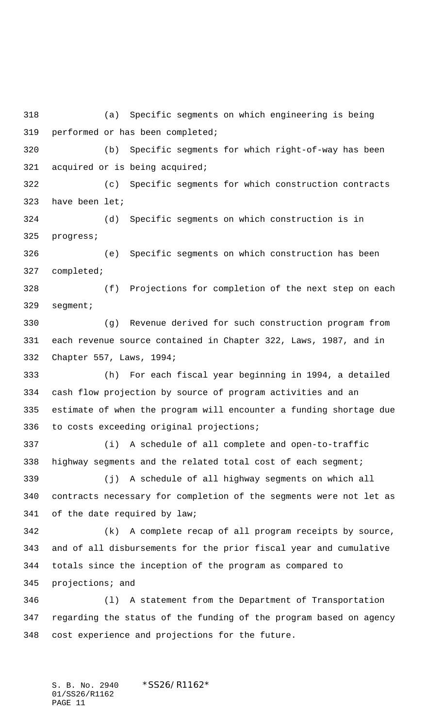(a) Specific segments on which engineering is being performed or has been completed; (b) Specific segments for which right-of-way has been acquired or is being acquired; (c) Specific segments for which construction contracts have been let; (d) Specific segments on which construction is in progress; (e) Specific segments on which construction has been completed; (f) Projections for completion of the next step on each segment; (g) Revenue derived for such construction program from each revenue source contained in Chapter 322, Laws, 1987, and in Chapter 557, Laws, 1994; (h) For each fiscal year beginning in 1994, a detailed cash flow projection by source of program activities and an estimate of when the program will encounter a funding shortage due to costs exceeding original projections; (i) A schedule of all complete and open-to-traffic highway segments and the related total cost of each segment; (j) A schedule of all highway segments on which all contracts necessary for completion of the segments were not let as of the date required by law; (k) A complete recap of all program receipts by source, and of all disbursements for the prior fiscal year and cumulative totals since the inception of the program as compared to projections; and (l) A statement from the Department of Transportation regarding the status of the funding of the program based on agency cost experience and projections for the future.